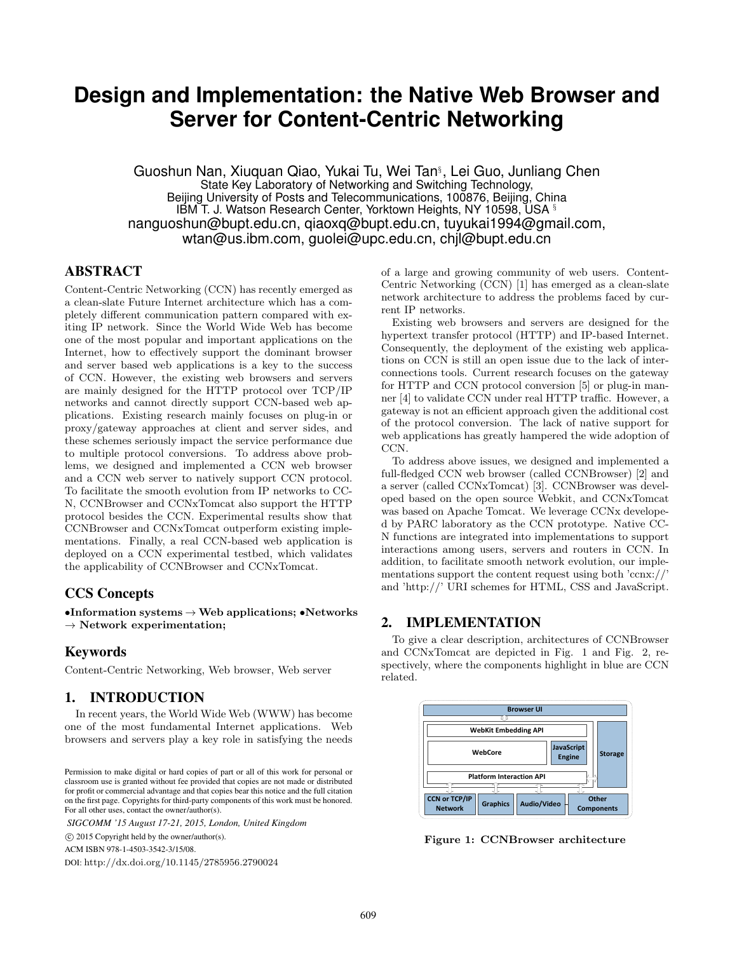# **Design and Implementation: the Native Web Browser and Server for Content-Centric Networking**

Guoshun Nan, Xiuquan Qiao, Yukai Tu, Wei Tan§ , Lei Guo, Junliang Chen State Key Laboratory of Networking and Switching Technology, Beijing University of Posts and Telecommunications, 100876, Beijing, China IBM T. J. Watson Research Center, Yorktown Heights, NY 10598, USA § nanguoshun@bupt.edu.cn, qiaoxq@bupt.edu.cn, tuyukai1994@gmail.com, wtan@us.ibm.com, guolei@upc.edu.cn, chjl@bupt.edu.cn

## ABSTRACT

Content-Centric Networking (CCN) has recently emerged as a clean-slate Future Internet architecture which has a completely different communication pattern compared with exiting IP network. Since the World Wide Web has become one of the most popular and important applications on the Internet, how to effectively support the dominant browser and server based web applications is a key to the success of CCN. However, the existing web browsers and servers are mainly designed for the HTTP protocol over TCP/IP networks and cannot directly support CCN-based web applications. Existing research mainly focuses on plug-in or proxy/gateway approaches at client and server sides, and these schemes seriously impact the service performance due to multiple protocol conversions. To address above problems, we designed and implemented a CCN web browser and a CCN web server to natively support CCN protocol. To facilitate the smooth evolution from IP networks to CC-N, CCNBrowser and CCNxTomcat also support the HTTP protocol besides the CCN. Experimental results show that CCNBrowser and CCNxTomcat outperform existing implementations. Finally, a real CCN-based web application is deployed on a CCN experimental testbed, which validates the applicability of CCNBrowser and CCNxTomcat.

## CCS Concepts

 $\bullet$ Information systems  $\rightarrow$  Web applications;  $\bullet$ Networks  $\rightarrow$  Network experimentation;

## Keywords

Content-Centric Networking, Web browser, Web server

#### 1. INTRODUCTION

In recent years, the World Wide Web (WWW) has become one of the most fundamental Internet applications. Web browsers and servers play a key role in satisfying the needs

*SIGCOMM '15 August 17-21, 2015, London, United Kingdom*

c 2015 Copyright held by the owner/author(s).

ACM ISBN 978-1-4503-3542-3/15/08.

DOI: http://dx.doi.org/10.1145/2785956.2790024

of a large and growing community of web users. Content-Centric Networking (CCN) [1] has emerged as a clean-slate network architecture to address the problems faced by current IP networks.

Existing web browsers and servers are designed for the hypertext transfer protocol (HTTP) and IP-based Internet. Consequently, the deployment of the existing web applications on CCN is still an open issue due to the lack of interconnections tools. Current research focuses on the gateway for HTTP and CCN protocol conversion [5] or plug-in manner [4] to validate CCN under real HTTP traffic. However, a gateway is not an efficient approach given the additional cost of the protocol conversion. The lack of native support for web applications has greatly hampered the wide adoption of CCN.

To address above issues, we designed and implemented a full-fledged CCN web browser (called CCNBrowser) [2] and a server (called CCNxTomcat) [3]. CCNBrowser was developed based on the open source Webkit, and CCNxTomcat was based on Apache Tomcat. We leverage CCNx developed by PARC laboratory as the CCN prototype. Native CC-N functions are integrated into implementations to support interactions among users, servers and routers in CCN. In addition, to facilitate smooth network evolution, our implementations support the content request using both 'ccnx://' and 'http://' URI schemes for HTML, CSS and JavaScript.

#### 2. IMPLEMENTATION

To give a clear description, architectures of CCNBrowser and CCNxTomcat are depicted in Fig. 1 and Fig. 2, respectively, where the components highlight in blue are CCN related.



Figure 1: CCNBrowser architecture

Permission to make digital or hard copies of part or all of this work for personal or classroom use is granted without fee provided that copies are not made or distributed for profit or commercial advantage and that copies bear this notice and the full citation on the first page. Copyrights for third-party components of this work must be honored. For all other uses, contact the owner/author(s).